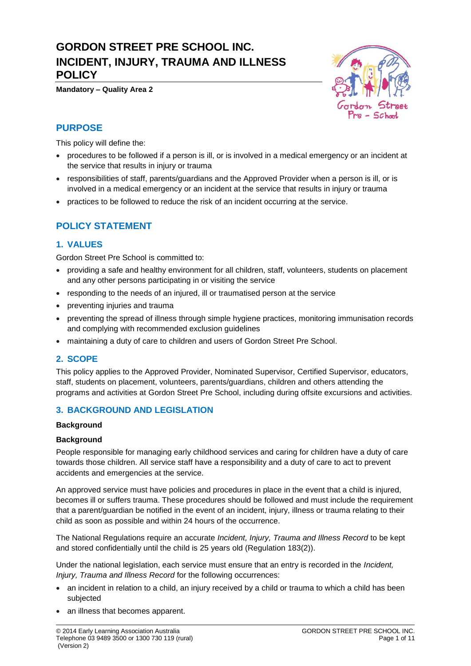# **GORDON STREET PRE SCHOOL INC. INCIDENT, INJURY, TRAUMA AND ILLNESS POLICY**

**Mandatory – Quality Area 2**



## **PURPOSE**

This policy will define the:

- procedures to be followed if a person is ill, or is involved in a medical emergency or an incident at the service that results in injury or trauma
- responsibilities of staff, parents/guardians and the Approved Provider when a person is ill, or is involved in a medical emergency or an incident at the service that results in injury or trauma
- practices to be followed to reduce the risk of an incident occurring at the service.

## **POLICY STATEMENT**

### **1. VALUES**

Gordon Street Pre School is committed to:

- providing a safe and healthy environment for all children, staff, volunteers, students on placement and any other persons participating in or visiting the service
- responding to the needs of an injured, ill or traumatised person at the service
- preventing injuries and trauma
- preventing the spread of illness through simple hygiene practices, monitoring immunisation records and complying with recommended exclusion guidelines
- maintaining a duty of care to children and users of Gordon Street Pre School.

## **2. SCOPE**

This policy applies to the Approved Provider, Nominated Supervisor, Certified Supervisor, educators, staff, students on placement, volunteers, parents/guardians, children and others attending the programs and activities at Gordon Street Pre School, including during offsite excursions and activities.

## **3. BACKGROUND AND LEGISLATION**

#### **Background**

### **Background**

People responsible for managing early childhood services and caring for children have a duty of care towards those children. All service staff have a responsibility and a duty of care to act to prevent accidents and emergencies at the service.

An approved service must have policies and procedures in place in the event that a child is injured, becomes ill or suffers trauma. These procedures should be followed and must include the requirement that a parent/guardian be notified in the event of an incident, injury, illness or trauma relating to their child as soon as possible and within 24 hours of the occurrence.

The National Regulations require an accurate *Incident, Injury, Trauma and Illness Record* to be kept and stored confidentially until the child is 25 years old (Regulation 183(2)).

Under the national legislation, each service must ensure that an entry is recorded in the *Incident, Injury, Trauma and Illness Record* for the following occurrences:

- an incident in relation to a child, an injury received by a child or trauma to which a child has been subjected
- an illness that becomes apparent.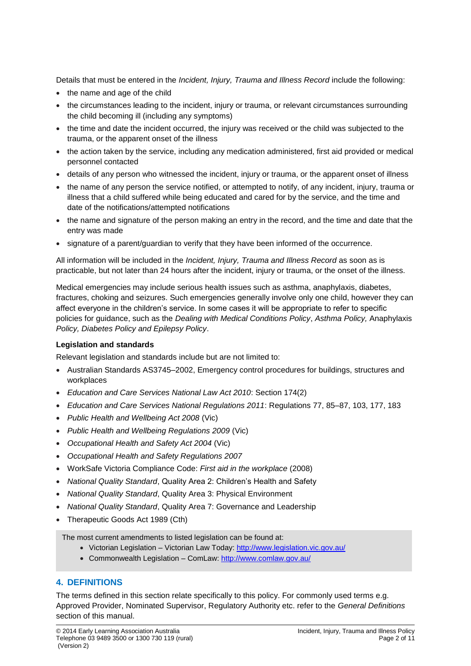Details that must be entered in the *Incident, Injury, Trauma and Illness Record* include the following:

- the name and age of the child
- the circumstances leading to the incident, injury or trauma, or relevant circumstances surrounding the child becoming ill (including any symptoms)
- the time and date the incident occurred, the injury was received or the child was subjected to the trauma, or the apparent onset of the illness
- the action taken by the service, including any medication administered, first aid provided or medical personnel contacted
- details of any person who witnessed the incident, injury or trauma, or the apparent onset of illness
- the name of any person the service notified, or attempted to notify, of any incident, injury, trauma or illness that a child suffered while being educated and cared for by the service, and the time and date of the notifications/attempted notifications
- the name and signature of the person making an entry in the record, and the time and date that the entry was made
- signature of a parent/guardian to verify that they have been informed of the occurrence.

All information will be included in the *Incident, Injury, Trauma and Illness Record* as soon as is practicable, but not later than 24 hours after the incident, injury or trauma, or the onset of the illness.

Medical emergencies may include serious health issues such as asthma, anaphylaxis, diabetes, fractures, choking and seizures. Such emergencies generally involve only one child, however they can affect everyone in the children's service. In some cases it will be appropriate to refer to specific policies for guidance, such as the *Dealing with Medical Conditions Policy*, *Asthma Policy,* Anaphylaxis *Policy, Diabetes Policy and Epilepsy Policy*.

## **Legislation and standards**

Relevant legislation and standards include but are not limited to:

- Australian Standards AS3745–2002, Emergency control procedures for buildings, structures and workplaces
- *Education and Care Services National Law Act 2010*: Section 174(2)
- *Education and Care Services National Regulations 2011*: Regulations 77, 85–87, 103, 177, 183
- *Public Health and Wellbeing Act 2008* (Vic)
- *Public Health and Wellbeing Regulations 2009* (Vic)
- *Occupational Health and Safety Act 2004* (Vic)
- *Occupational Health and Safety Regulations 2007*
- WorkSafe Victoria Compliance Code: *First aid in the workplace* (2008)
- *National Quality Standard*, Quality Area 2: Children's Health and Safety
- *National Quality Standard*, Quality Area 3: Physical Environment
- *National Quality Standard*, Quality Area 7: Governance and Leadership
- Therapeutic Goods Act 1989 (Cth)

The most current amendments to listed legislation can be found at:

- Victorian Legislation Victorian Law Today:<http://www.legislation.vic.gov.au/>
- Commonwealth Legislation ComLaw[: http://www.comlaw.gov.au/](http://www.comlaw.gov.au/)

## **4. DEFINITIONS**

The terms defined in this section relate specifically to this policy. For commonly used terms e.g. Approved Provider, Nominated Supervisor, Regulatory Authority etc. refer to the *General Definitions* section of this manual.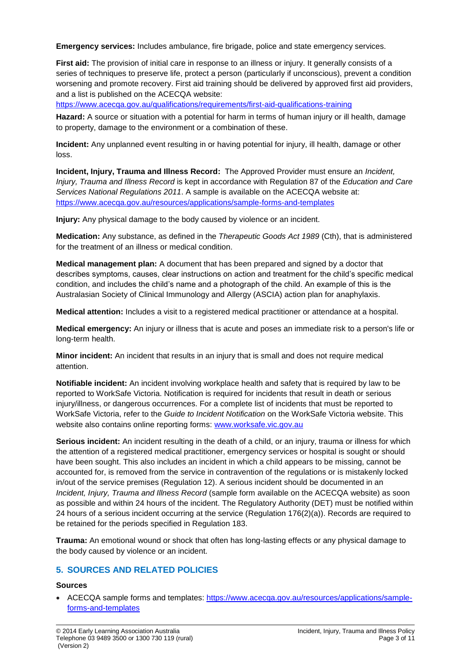**Emergency services:** Includes ambulance, fire brigade, police and state emergency services.

**First aid:** The provision of initial care in response to an illness or injury. It generally consists of a series of techniques to preserve life, protect a person (particularly if unconscious), prevent a condition worsening and promote recovery. First aid training should be delivered by approved first aid providers, and a list is published on the ACECQA website:

<https://www.acecqa.gov.au/qualifications/requirements/first-aid-qualifications-training>

**Hazard:** A source or situation with a potential for harm in terms of human injury or ill health, damage to property, damage to the environment or a combination of these.

**Incident:** Any unplanned event resulting in or having potential for injury, ill health, damage or other loss.

**Incident, Injury, Trauma and Illness Record:** The Approved Provider must ensure an *Incident, Injury, Trauma and Illness Record* is kept in accordance with Regulation 87 of the *Education and Care Services National Regulations 2011*. A sample is available on the ACECQA website at: <https://www.acecqa.gov.au/resources/applications/sample-forms-and-templates>

**Injury:** Any physical damage to the body caused by violence or an incident.

**Medication:** Any substance, as defined in the *Therapeutic Goods Act 1989* (Cth), that is administered for the treatment of an illness or medical condition.

**Medical management plan:** A document that has been prepared and signed by a doctor that describes symptoms, causes, clear instructions on action and treatment for the child's specific medical condition, and includes the child's name and a photograph of the child. An example of this is the Australasian Society of Clinical Immunology and Allergy (ASCIA) action plan for anaphylaxis.

**Medical attention:** Includes a visit to a registered medical practitioner or attendance at a hospital.

**Medical emergency:** An injury or illness that is acute and poses an immediate risk to a person's life or long-term health.

**Minor incident:** An incident that results in an injury that is small and does not require medical attention.

**Notifiable incident:** An incident involving workplace health and safety that is required by law to be reported to WorkSafe Victoria. Notification is required for incidents that result in death or serious injury/illness, or dangerous occurrences. For a complete list of incidents that must be reported to WorkSafe Victoria, refer to the *Guide to Incident Notification* on the WorkSafe Victoria website. This website also contains online reporting forms: [www.worksafe.vic.gov.au](http://www.worksafe.vic.gov.au/)

**Serious incident:** An incident resulting in the death of a child, or an injury, trauma or illness for which the attention of a registered medical practitioner, emergency services or hospital is sought or should have been sought. This also includes an incident in which a child appears to be missing, cannot be accounted for, is removed from the service in contravention of the regulations or is mistakenly locked in/out of the service premises (Regulation 12). A serious incident should be documented in an *Incident, Injury, Trauma and Illness Record* (sample form available on the ACECQA website) as soon as possible and within 24 hours of the incident. The Regulatory Authority (DET) must be notified within 24 hours of a serious incident occurring at the service (Regulation 176(2)(a)). Records are required to be retained for the periods specified in Regulation 183.

**Trauma:** An emotional wound or shock that often has long-lasting effects or any physical damage to the body caused by violence or an incident.

## **5. SOURCES AND RELATED POLICIES**

#### **Sources**

• ACECQA sample forms and templates: [https://www.acecqa.gov.au/resources/applications/sample](https://www.acecqa.gov.au/resources/applications/sample-forms-and-templates)[forms-and-templates](https://www.acecqa.gov.au/resources/applications/sample-forms-and-templates)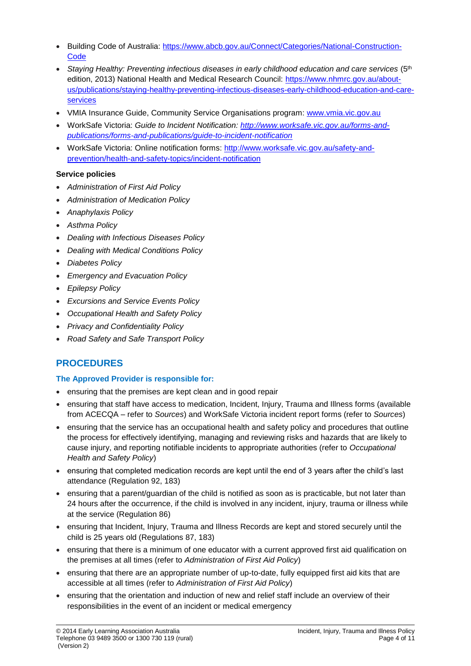- Building Code of Australia: [https://www.abcb.gov.au/Connect/Categories/National-Construction-](https://www.abcb.gov.au/Connect/Categories/National-Construction-Code)**[Code](https://www.abcb.gov.au/Connect/Categories/National-Construction-Code)**
- *Staying Healthy: Preventing infectious diseases in early childhood education and care services* (5th edition, 2013) National Health and Medical Research Council: [https://www.nhmrc.gov.au/about](https://www.nhmrc.gov.au/about-us/publications/staying-healthy-preventing-infectious-diseases-early-childhood-education-and-care-services)[us/publications/staying-healthy-preventing-infectious-diseases-early-childhood-education-and-care](https://www.nhmrc.gov.au/about-us/publications/staying-healthy-preventing-infectious-diseases-early-childhood-education-and-care-services)[services](https://www.nhmrc.gov.au/about-us/publications/staying-healthy-preventing-infectious-diseases-early-childhood-education-and-care-services)
- VMIA Insurance Guide, Community Service Organisations program: [www.vmia.vic.gov.au](http://www.vmia.vic.gov.au/)
- WorkSafe Victoria: *Guide to Incident Notification: [http://www.worksafe.vic.gov.au/forms-and](http://www.worksafe.vic.gov.au/forms-and-publications/forms-and-publications/guide-to-incident-notification)[publications/forms-and-publications/guide-to-incident-notification](http://www.worksafe.vic.gov.au/forms-and-publications/forms-and-publications/guide-to-incident-notification)*
- WorkSafe Victoria: Online notification forms: [http://www.worksafe.vic.gov.au/safety-and](http://www.worksafe.vic.gov.au/safety-and-prevention/health-and-safety-topics/incident-notification)[prevention/health-and-safety-topics/incident-notification](http://www.worksafe.vic.gov.au/safety-and-prevention/health-and-safety-topics/incident-notification)

## **Service policies**

- *Administration of First Aid Policy*
- *Administration of Medication Policy*
- *Anaphylaxis Policy*
- *Asthma Policy*
- *Dealing with Infectious Diseases Policy*
- *Dealing with Medical Conditions Policy*
- *Diabetes Policy*
- *Emergency and Evacuation Policy*
- *Epilepsy Policy*
- *Excursions and Service Events Policy*
- *Occupational Health and Safety Policy*
- *Privacy and Confidentiality Policy*
- *Road Safety and Safe Transport Policy*

## **PROCEDURES**

### **The Approved Provider is responsible for:**

- ensuring that the premises are kept clean and in good repair
- ensuring that staff have access to medication, Incident, Injury, Trauma and Illness forms (available from ACECQA – refer to *Sources*) and WorkSafe Victoria incident report forms (refer to *Sources*)
- ensuring that the service has an occupational health and safety policy and procedures that outline the process for effectively identifying, managing and reviewing risks and hazards that are likely to cause injury, and reporting notifiable incidents to appropriate authorities (refer to *Occupational Health and Safety Policy*)
- ensuring that completed medication records are kept until the end of 3 years after the child's last attendance (Regulation 92, 183)
- ensuring that a parent/guardian of the child is notified as soon as is practicable, but not later than 24 hours after the occurrence, if the child is involved in any incident, injury, trauma or illness while at the service (Regulation 86)
- ensuring that Incident, Injury, Trauma and Illness Records are kept and stored securely until the child is 25 years old (Regulations 87, 183)
- ensuring that there is a minimum of one educator with a current approved first aid qualification on the premises at all times (refer to *Administration of First Aid Policy*)
- ensuring that there are an appropriate number of up-to-date, fully equipped first aid kits that are accessible at all times (refer to *Administration of First Aid Policy*)
- ensuring that the orientation and induction of new and relief staff include an overview of their responsibilities in the event of an incident or medical emergency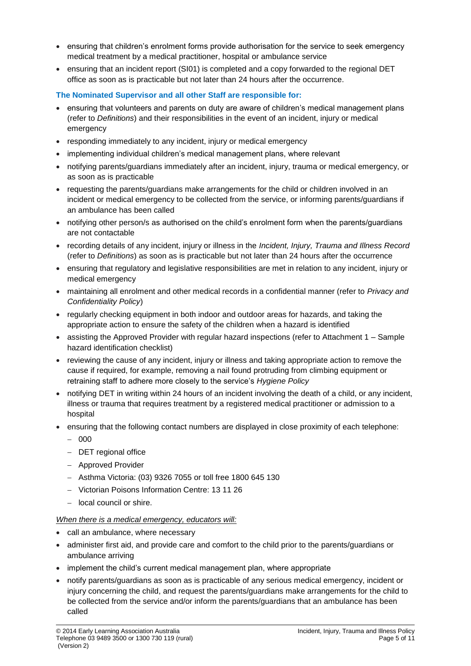- ensuring that children's enrolment forms provide authorisation for the service to seek emergency medical treatment by a medical practitioner, hospital or ambulance service
- ensuring that an incident report (SI01) is completed and a copy forwarded to the regional DET office as soon as is practicable but not later than 24 hours after the occurrence.

#### **The Nominated Supervisor and all other Staff are responsible for:**

- ensuring that volunteers and parents on duty are aware of children's medical management plans (refer to *Definitions*) and their responsibilities in the event of an incident, injury or medical emergency
- responding immediately to any incident, injury or medical emergency
- implementing individual children's medical management plans, where relevant
- notifying parents/guardians immediately after an incident, injury, trauma or medical emergency, or as soon as is practicable
- requesting the parents/guardians make arrangements for the child or children involved in an incident or medical emergency to be collected from the service, or informing parents/guardians if an ambulance has been called
- notifying other person/s as authorised on the child's enrolment form when the parents/guardians are not contactable
- recording details of any incident, injury or illness in the *Incident, Injury, Trauma and Illness Record* (refer to *Definitions*) as soon as is practicable but not later than 24 hours after the occurrence
- ensuring that regulatory and legislative responsibilities are met in relation to any incident, injury or medical emergency
- maintaining all enrolment and other medical records in a confidential manner (refer to *Privacy and Confidentiality Policy*)
- regularly checking equipment in both indoor and outdoor areas for hazards, and taking the appropriate action to ensure the safety of the children when a hazard is identified
- assisting the Approved Provider with regular hazard inspections (refer to Attachment 1 Sample hazard identification checklist)
- reviewing the cause of any incident, injury or illness and taking appropriate action to remove the cause if required, for example, removing a nail found protruding from climbing equipment or retraining staff to adhere more closely to the service's *Hygiene Policy*
- notifying DET in writing within 24 hours of an incident involving the death of a child, or any incident, illness or trauma that requires treatment by a registered medical practitioner or admission to a hospital
- ensuring that the following contact numbers are displayed in close proximity of each telephone:
	- − 000
	- − DET regional office
	- − Approved Provider
	- − Asthma Victoria: (03) 9326 7055 or toll free 1800 645 130
	- − Victorian Poisons Information Centre: 13 11 26
	- − local council or shire.

#### *When there is a medical emergency, educators will:*

- call an ambulance, where necessary
- administer first aid, and provide care and comfort to the child prior to the parents/guardians or ambulance arriving
- implement the child's current medical management plan, where appropriate
- notify parents/guardians as soon as is practicable of any serious medical emergency, incident or injury concerning the child, and request the parents/guardians make arrangements for the child to be collected from the service and/or inform the parents/guardians that an ambulance has been called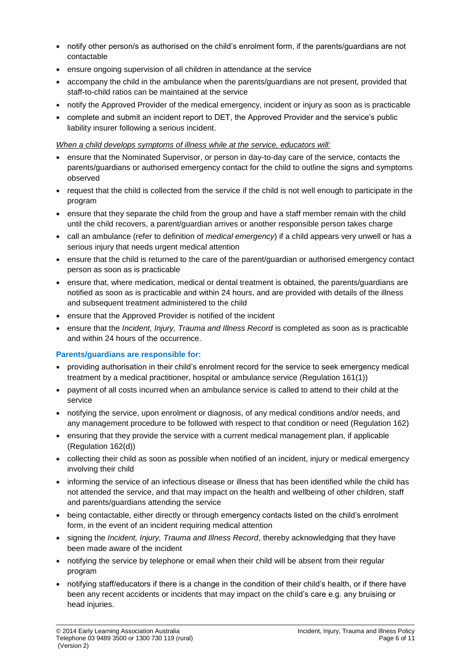- notify other person/s as authorised on the child's enrolment form, if the parents/guardians are not contactable
- ensure ongoing supervision of all children in attendance at the service
- accompany the child in the ambulance when the parents/guardians are not present, provided that staff-to-child ratios can be maintained at the service
- notify the Approved Provider of the medical emergency, incident or injury as soon as is practicable
- complete and submit an incident report to DET, the Approved Provider and the service's public liability insurer following a serious incident.

### *When a child develops symptoms of illness while at the service, educators will:*

- ensure that the Nominated Supervisor, or person in day-to-day care of the service, contacts the parents/guardians or authorised emergency contact for the child to outline the signs and symptoms observed
- request that the child is collected from the service if the child is not well enough to participate in the program
- ensure that they separate the child from the group and have a staff member remain with the child until the child recovers, a parent/guardian arrives or another responsible person takes charge
- call an ambulance (refer to definition of *medical emergency*) if a child appears very unwell or has a serious injury that needs urgent medical attention
- ensure that the child is returned to the care of the parent/guardian or authorised emergency contact person as soon as is practicable
- ensure that, where medication, medical or dental treatment is obtained, the parents/guardians are notified as soon as is practicable and within 24 hours, and are provided with details of the illness and subsequent treatment administered to the child
- ensure that the Approved Provider is notified of the incident
- ensure that the *Incident, Injury, Trauma and Illness Record* is completed as soon as is practicable and within 24 hours of the occurrence.

## **Parents/guardians are responsible for:**

- providing authorisation in their child's enrolment record for the service to seek emergency medical treatment by a medical practitioner, hospital or ambulance service (Regulation 161(1))
- payment of all costs incurred when an ambulance service is called to attend to their child at the service
- notifying the service, upon enrolment or diagnosis, of any medical conditions and/or needs, and any management procedure to be followed with respect to that condition or need (Regulation 162)
- ensuring that they provide the service with a current medical management plan, if applicable (Regulation 162(d))
- collecting their child as soon as possible when notified of an incident, injury or medical emergency involving their child
- informing the service of an infectious disease or illness that has been identified while the child has not attended the service, and that may impact on the health and wellbeing of other children, staff and parents/guardians attending the service
- being contactable, either directly or through emergency contacts listed on the child's enrolment form, in the event of an incident requiring medical attention
- signing the *Incident, Injury, Trauma and Illness Record*, thereby acknowledging that they have been made aware of the incident
- notifying the service by telephone or email when their child will be absent from their regular program
- notifying staff/educators if there is a change in the condition of their child's health, or if there have been any recent accidents or incidents that may impact on the child's care e.g. any bruising or head injuries.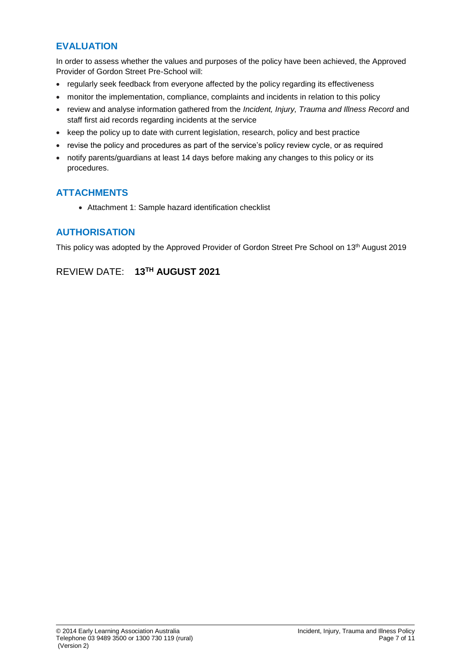## **EVALUATION**

In order to assess whether the values and purposes of the policy have been achieved, the Approved Provider of Gordon Street Pre-School will:

- regularly seek feedback from everyone affected by the policy regarding its effectiveness
- monitor the implementation, compliance, complaints and incidents in relation to this policy
- review and analyse information gathered from the *Incident, Injury, Trauma and Illness Record* and staff first aid records regarding incidents at the service
- keep the policy up to date with current legislation, research, policy and best practice
- revise the policy and procedures as part of the service's policy review cycle, or as required
- notify parents/guardians at least 14 days before making any changes to this policy or its procedures.

## **ATTACHMENTS**

• Attachment 1: Sample hazard identification checklist

## **AUTHORISATION**

This policy was adopted by the Approved Provider of Gordon Street Pre School on 13<sup>th</sup> August 2019

## REVIEW DATE: **13 TH AUGUST 2021**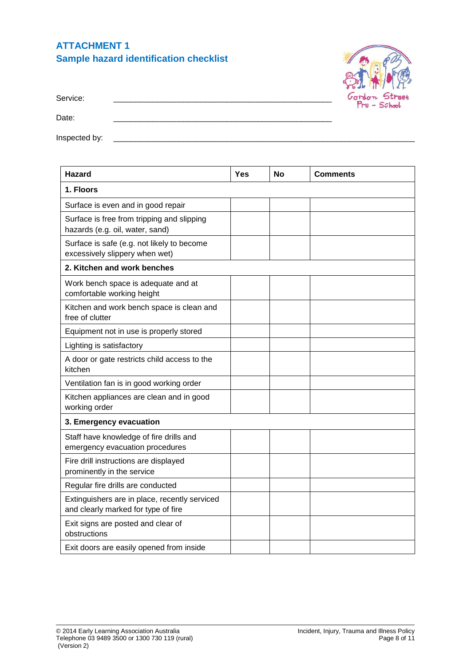## **ATTACHMENT 1 Sample hazard identification checklist**



Service: \_\_\_\_\_\_\_\_\_\_\_\_\_\_\_\_\_\_\_\_\_\_\_\_\_\_\_\_\_\_\_\_\_\_\_\_\_\_\_\_\_\_\_\_\_\_\_\_\_\_

Date:

Inspected by: \_\_\_\_\_\_\_\_\_\_\_\_\_\_\_\_\_\_\_\_\_\_\_\_\_\_\_\_\_\_\_\_\_\_\_\_\_\_\_\_\_\_\_\_\_\_\_\_\_\_\_\_\_\_\_\_\_\_\_\_\_\_\_\_\_\_\_\_\_

| <b>Hazard</b>                                                                        | <b>Yes</b> | No | <b>Comments</b> |
|--------------------------------------------------------------------------------------|------------|----|-----------------|
| 1. Floors                                                                            |            |    |                 |
| Surface is even and in good repair                                                   |            |    |                 |
| Surface is free from tripping and slipping<br>hazards (e.g. oil, water, sand)        |            |    |                 |
| Surface is safe (e.g. not likely to become<br>excessively slippery when wet)         |            |    |                 |
| 2. Kitchen and work benches                                                          |            |    |                 |
| Work bench space is adequate and at<br>comfortable working height                    |            |    |                 |
| Kitchen and work bench space is clean and<br>free of clutter                         |            |    |                 |
| Equipment not in use is properly stored                                              |            |    |                 |
| Lighting is satisfactory                                                             |            |    |                 |
| A door or gate restricts child access to the<br>kitchen                              |            |    |                 |
| Ventilation fan is in good working order                                             |            |    |                 |
| Kitchen appliances are clean and in good<br>working order                            |            |    |                 |
| 3. Emergency evacuation                                                              |            |    |                 |
| Staff have knowledge of fire drills and<br>emergency evacuation procedures           |            |    |                 |
| Fire drill instructions are displayed<br>prominently in the service                  |            |    |                 |
| Regular fire drills are conducted                                                    |            |    |                 |
| Extinguishers are in place, recently serviced<br>and clearly marked for type of fire |            |    |                 |
| Exit signs are posted and clear of<br>obstructions                                   |            |    |                 |
| Exit doors are easily opened from inside                                             |            |    |                 |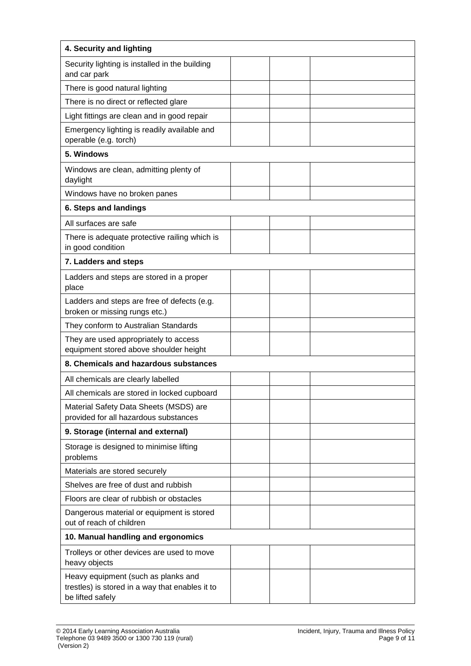| 4. Security and lighting                                                                                   |  |  |
|------------------------------------------------------------------------------------------------------------|--|--|
| Security lighting is installed in the building<br>and car park                                             |  |  |
| There is good natural lighting                                                                             |  |  |
| There is no direct or reflected glare                                                                      |  |  |
| Light fittings are clean and in good repair                                                                |  |  |
| Emergency lighting is readily available and<br>operable (e.g. torch)                                       |  |  |
| 5. Windows                                                                                                 |  |  |
| Windows are clean, admitting plenty of<br>daylight                                                         |  |  |
| Windows have no broken panes                                                                               |  |  |
| 6. Steps and landings                                                                                      |  |  |
| All surfaces are safe                                                                                      |  |  |
| There is adequate protective railing which is<br>in good condition                                         |  |  |
| 7. Ladders and steps                                                                                       |  |  |
| Ladders and steps are stored in a proper<br>place                                                          |  |  |
| Ladders and steps are free of defects (e.g.<br>broken or missing rungs etc.)                               |  |  |
| They conform to Australian Standards                                                                       |  |  |
| They are used appropriately to access<br>equipment stored above shoulder height                            |  |  |
| 8. Chemicals and hazardous substances                                                                      |  |  |
| All chemicals are clearly labelled                                                                         |  |  |
| All chemicals are stored in locked cupboard                                                                |  |  |
| Material Safety Data Sheets (MSDS) are<br>provided for all hazardous substances                            |  |  |
| 9. Storage (internal and external)                                                                         |  |  |
| Storage is designed to minimise lifting<br>problems                                                        |  |  |
| Materials are stored securely                                                                              |  |  |
| Shelves are free of dust and rubbish                                                                       |  |  |
| Floors are clear of rubbish or obstacles                                                                   |  |  |
| Dangerous material or equipment is stored<br>out of reach of children                                      |  |  |
| 10. Manual handling and ergonomics                                                                         |  |  |
| Trolleys or other devices are used to move<br>heavy objects                                                |  |  |
| Heavy equipment (such as planks and<br>trestles) is stored in a way that enables it to<br>be lifted safely |  |  |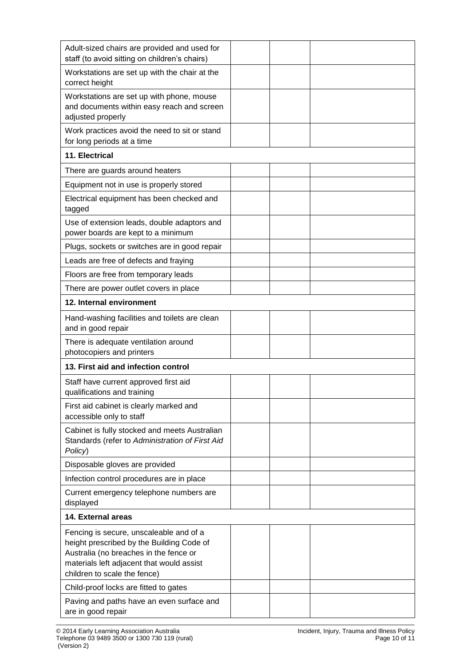| Adult-sized chairs are provided and used for<br>staff (to avoid sitting on children's chairs)                                                                                                               |  |  |
|-------------------------------------------------------------------------------------------------------------------------------------------------------------------------------------------------------------|--|--|
| Workstations are set up with the chair at the<br>correct height                                                                                                                                             |  |  |
| Workstations are set up with phone, mouse<br>and documents within easy reach and screen<br>adjusted properly                                                                                                |  |  |
| Work practices avoid the need to sit or stand<br>for long periods at a time                                                                                                                                 |  |  |
| 11. Electrical                                                                                                                                                                                              |  |  |
| There are guards around heaters                                                                                                                                                                             |  |  |
| Equipment not in use is properly stored                                                                                                                                                                     |  |  |
| Electrical equipment has been checked and<br>tagged                                                                                                                                                         |  |  |
| Use of extension leads, double adaptors and<br>power boards are kept to a minimum                                                                                                                           |  |  |
| Plugs, sockets or switches are in good repair                                                                                                                                                               |  |  |
| Leads are free of defects and fraying                                                                                                                                                                       |  |  |
| Floors are free from temporary leads                                                                                                                                                                        |  |  |
| There are power outlet covers in place                                                                                                                                                                      |  |  |
| 12. Internal environment                                                                                                                                                                                    |  |  |
| Hand-washing facilities and toilets are clean<br>and in good repair                                                                                                                                         |  |  |
| There is adequate ventilation around<br>photocopiers and printers                                                                                                                                           |  |  |
| 13. First aid and infection control                                                                                                                                                                         |  |  |
| Staff have current approved first aid<br>qualifications and training                                                                                                                                        |  |  |
| First aid cabinet is clearly marked and<br>accessible only to staff                                                                                                                                         |  |  |
| Cabinet is fully stocked and meets Australian<br>Standards (refer to Administration of First Aid<br>Policy)                                                                                                 |  |  |
| Disposable gloves are provided                                                                                                                                                                              |  |  |
| Infection control procedures are in place                                                                                                                                                                   |  |  |
| Current emergency telephone numbers are<br>displayed                                                                                                                                                        |  |  |
| 14. External areas                                                                                                                                                                                          |  |  |
| Fencing is secure, unscaleable and of a<br>height prescribed by the Building Code of<br>Australia (no breaches in the fence or<br>materials left adjacent that would assist<br>children to scale the fence) |  |  |
| Child-proof locks are fitted to gates                                                                                                                                                                       |  |  |
| Paving and paths have an even surface and<br>are in good repair                                                                                                                                             |  |  |